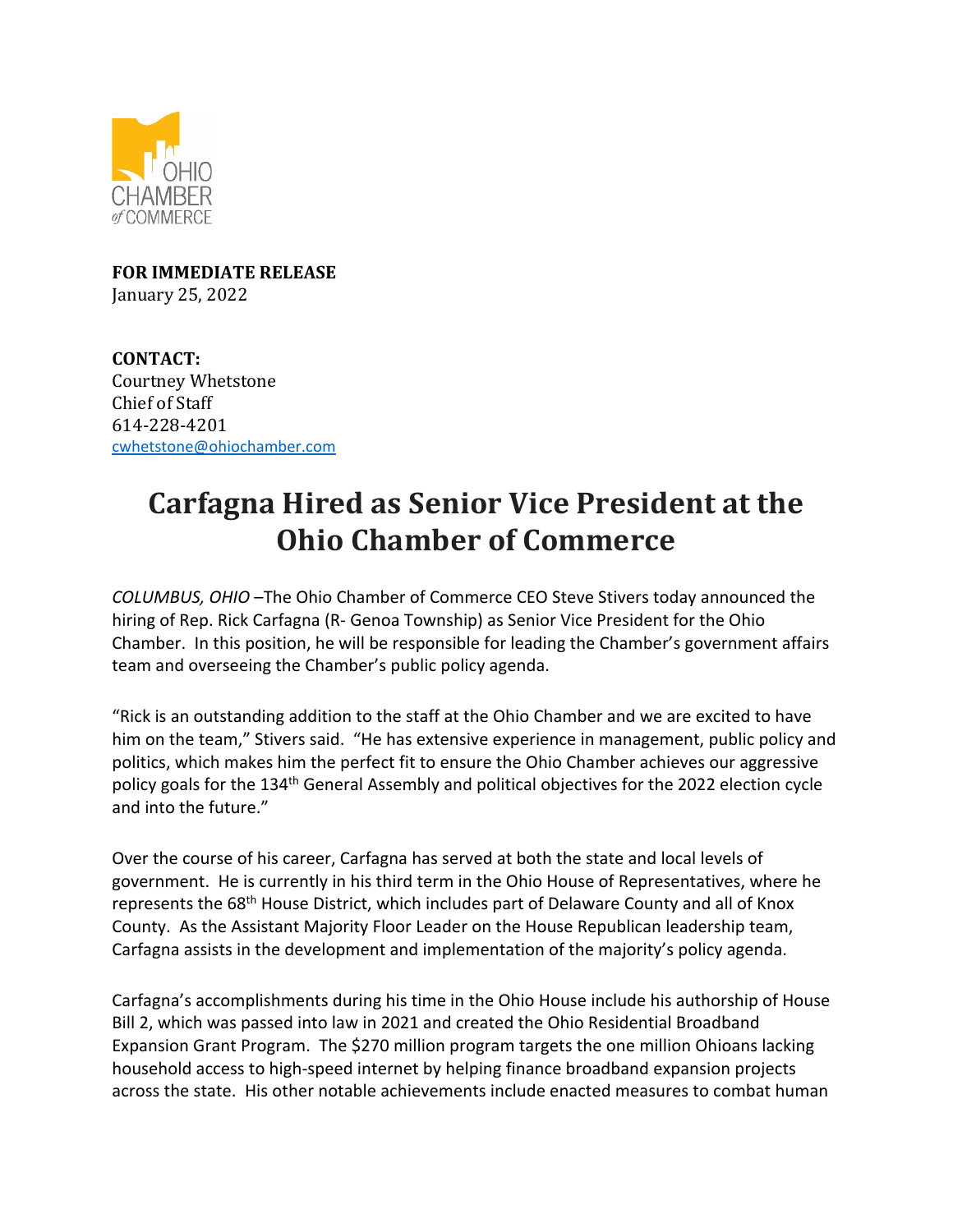

**FOR IMMEDIATE RELEASE** January 25, 2022

**CONTACT:** Courtney Whetstone Chief of Staff 614-228-4201 cwhetstone@ohiochamber.com

## **Carfagna Hired as Senior Vice President at the Ohio Chamber of Commerce**

*COLUMBUS, OHIO* –The Ohio Chamber of Commerce CEO Steve Stivers today announced the hiring of Rep. Rick Carfagna (R- Genoa Township) as Senior Vice President for the Ohio Chamber. In this position, he will be responsible for leading the Chamber's government affairs team and overseeing the Chamber's public policy agenda.

"Rick is an outstanding addition to the staff at the Ohio Chamber and we are excited to have him on the team," Stivers said. "He has extensive experience in management, public policy and politics, which makes him the perfect fit to ensure the Ohio Chamber achieves our aggressive policy goals for the 134<sup>th</sup> General Assembly and political objectives for the 2022 election cycle and into the future."

Over the course of his career, Carfagna has served at both the state and local levels of government. He is currently in his third term in the Ohio House of Representatives, where he represents the 68th House District, which includes part of Delaware County and all of Knox County. As the Assistant Majority Floor Leader on the House Republican leadership team, Carfagna assists in the development and implementation of the majority's policy agenda.

Carfagna's accomplishments during his time in the Ohio House include his authorship of House Bill 2, which was passed into law in 2021 and created the Ohio Residential Broadband Expansion Grant Program. The \$270 million program targets the one million Ohioans lacking household access to high-speed internet by helping finance broadband expansion projects across the state. His other notable achievements include enacted measures to combat human